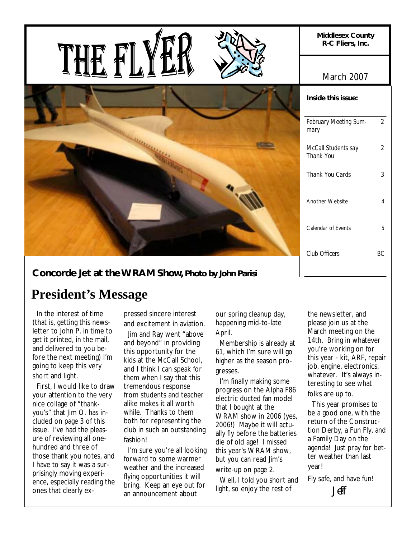

**Concorde Jet at the WRAM Show,** *Photo by John Parisi*

# **President's Message**

 In the interest of time (that is, getting this newsletter to John P. in time to get it printed, in the mail, and delivered to you before the next meeting) I'm going to keep this very short and light.

 First, I would like to draw your attention to the very nice collage of "thankyou's" that Jim O. has included on page 3 of this issue. I've had the pleasure of reviewing all onehundred and three of those thank you notes, and I have to say it was a surprisingly moving experience, especially reading the ones that clearly expressed sincere interest and excitement in aviation.

 Jim and Ray went "above and beyond" in providing this opportunity for the kids at the McCall School, and I think I can speak for them when I say that this tremendous response from students and teacher alike makes it all worth while. Thanks to them both for representing the club in such an outstanding fashion!

 I'm sure you're all looking forward to some warmer weather and the increased flying opportunities it will bring. Keep an eye out for an announcement about

our spring cleanup day, happening mid-to-late April.

 Membership is already at 61, which I'm sure will go higher as the season progresses.

 I'm finally making some progress on the Alpha F86 electric ducted fan model that I bought at the WRAM show in 2006 (yes, 2006!) Maybe it will actually fly before the batteries die of old age! I missed this year's WRAM show, but you can read Jim's write-up on page 2.

 Well, I told you short and light, so enjoy the rest of

the newsletter, and please join us at the March meeting on the 14th. Bring in whatever you're working on for this year - kit, ARF, repair job, engine, electronics, whatever. It's always interesting to see what folks are up to.

 This year promises to be a good one, with the return of the Construction Derby, a Fun Fly, and a Family Day on the agenda! Just pray for better weather than last year!

Fly safe, and have fun! Jeff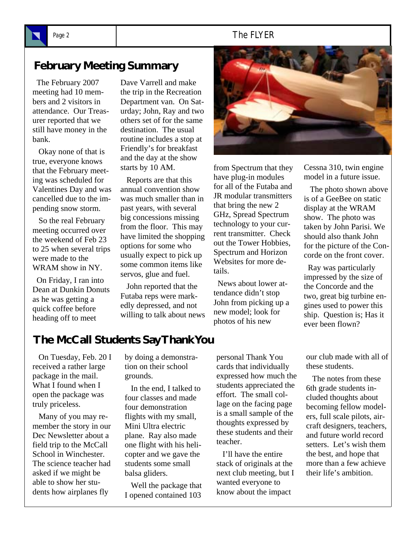### Page 2 and 1 and 1 and 2 and 2 and 2 and 2 and 2 and 2 and 2 and 2 and 2 and 2 and 2 and 2 and 2 and 2 and 2 and 2 and 2 and 2 and 2 and 2 and 2 and 2 and 2 and 2 and 2 and 2 and 2 and 2 and 2 and 2 and 2 and 2 and 2 and 2

# **February Meeting Summary**

 The February 2007 meeting had 10 members and 2 visitors in attendance. Our Treasurer reported that we still have money in the bank.

 Okay none of that is true, everyone knows that the February meeting was scheduled for Valentines Day and was cancelled due to the impending snow storm.

 So the real February meeting occurred over the weekend of Feb 23 to 25 when several trips were made to the WRAM show in NY.

 On Friday, I ran into Dean at Dunkin Donuts as he was getting a quick coffee before heading off to meet

Dave Varrell and make the trip in the Recreation Department van. On Saturday; John, Ray and two others set of for the same destination. The usual routine includes a stop at Friendly's for breakfast and the day at the show starts by 10 AM.

 Reports are that this annual convention show was much smaller than in past years, with several big concessions missing from the floor. This may have limited the shopping options for some who usually expect to pick up some common items like servos, glue and fuel.

 John reported that the Futaba reps were markedly depressed, and not willing to talk about news



from Spectrum that they have plug-in modules for all of the Futaba and JR modular transmitters that bring the new 2 GHz, Spread Spectrum technology to your current transmitter. Check out the Tower Hobbies, Spectrum and Horizon Websites for more details.

 News about lower attendance didn't stop John from picking up a new model; look for photos of his new

Cessna 310, twin engine model in a future issue.

 The photo shown above is of a GeeBee on static display at the WRAM show. The photo was taken by John Parisi. We should also thank John for the picture of the Concorde on the front cover.

 Ray was particularly impressed by the size of the Concorde and the two, great big turbine engines used to power this ship. Question is; Has it ever been flown?

## **The McCall Students Say Thank You**

 On Tuesday, Feb. 20 I received a rather large package in the mail. What I found when I open the package was truly priceless.

 Many of you may remember the story in our Dec Newsletter about a field trip to the McCall School in Winchester. The science teacher had asked if we might be able to show her students how airplanes fly

by doing a demonstration on their school grounds.

 In the end, I talked to four classes and made four demonstration flights with my small, Mini Ultra electric plane. Ray also made one flight with his helicopter and we gave the students some small balsa gliders.

 Well the package that I opened contained 103

personal Thank You cards that individually expressed how much the students appreciated the effort. The small collage on the facing page is a small sample of the thoughts expressed by these students and their teacher.

 I'll have the entire stack of originals at the next club meeting, but I wanted everyone to know about the impact

our club made with all of these students.

 The notes from these 6th grade students included thoughts about becoming fellow modelers, full scale pilots, aircraft designers, teachers, and future world record setters. Let's wish them the best, and hope that more than a few achieve their life's ambition.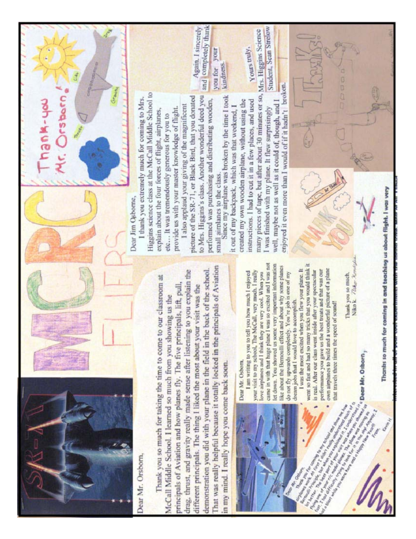

Orsborn

hank-yer

Dear Mr. Orsborn,

That was really helpful because it totally locked in the principals of Aviation demonstration you did with your plane in the field in the back of the school. drag, thrust, and gravity really made sense after listening to you explain the Thank you so much for taking the time to come to our classroom at principals of Aviation and how planes fly. The five principals, lift, pull, different principals. The thing I liked the most about your visit was the McCall Middle School. I learned so much from you showing us the in my mind. I really hope you come back soon.



Dear Mr. Osborn,

came in with that huge plane I was so excited and I was not let down. You showed us some very important information like about the Bernoulli effect and about why some planes I am writing to you to tell you how much I enjoyed your visit to my school. The McCall, very much. I really do not fly upwards completely. You're job is one of my love airplanes and I think they are very cool. When you dream jobs that I would love to accomplish.

went so fast and had so many tricks that you would think i I was the most excited when you flew your plane. It own airplanes to build and a wonderful picture of a plane performance you gave us the best treats and that was our is real. After our class went inside after your spectacular that travels three times the speed of sound!

Niko k. 70ber Name Thank you so much.

Dear Jim Osborne,

Higgins science class at the McCall Middle School to I thank you extremely much for coming to Mrs. I also applaud your giving of the magnificent provide us with your master knowledge of flight. explain about the four forces of flight, airplanes, etc... It was tremendously generous for you to

picture of the SR-71, or Black Bird, that you donated to Mrs. Higgins's class. Another wonderful deed you small aimlanes to the class.<br>Since my airplane was broken by the time I took performed was purchasing and distributing wooden,

and completely thank

you for your

Again. I sincerely

many pieces of tape, but after about 30 minutes or so, created my own wooden airplane, without using the instructions. I had to cut it in a few places, and used it out of my backpack, which was that weekend, I I was finished with my plane. It flew surprisingly

Student, Sean Strelow Mrs. Higgins Science Yours truly. kindness.

enjoyed it even more than I would of if it hadn't broken. well, maybe not as well as it could of, though, and I

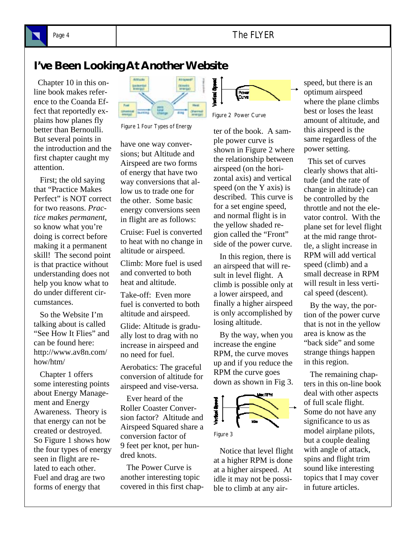

### Page 4 **The FLYER**

## **I've Been Looking At Another Website**

 Chapter 10 in this online book makes reference to the Coanda Effect that reportedly explains how planes fly better than Bernoulli. But several points in the introduction and the first chapter caught my attention.

 First; the old saying that "Practice Makes Perfect" is NOT correct for two reasons. *Practice makes permanent*, so know what you're doing is correct before making it a permanent skill! The second point is that practice without understanding does not help you know what to do under different circumstances.

 So the Website I'm talking about is called "See How It Flies" and can be found here: http://www.av8n.com/ how/htm/

 Chapter 1 offers some interesting points about Energy Management and Energy Awareness. Theory is that energy can not be created or destroyed. So Figure 1 shows how the four types of energy seen in flight are related to each other. Fuel and drag are two forms of energy that



Figure 1 Four Types of Energy

have one way conversions; but Altitude and Airspeed are two forms of energy that have two way conversions that allow us to trade one for the other. Some basic energy conversions seen in flight are as follows:

Cruise: Fuel is converted to heat with no change in altitude or airspeed.

Climb: More fuel is used and converted to both heat and altitude.

Take-off: Even more fuel is converted to both altitude and airspeed.

Glide: Altitude is gradually lost to drag with no increase in airspeed and no need for fuel.

Aerobatics: The graceful conversion of altitude for airspeed and vise-versa.

 Ever heard of the Roller Coaster Conversion factor? Altitude and Airspeed Squared share a conversion factor of 9 feet per knot, per hundred knots.

 The Power Curve is another interesting topic covered in this first chap-



Figure 2 Power Curve

ter of the book. A sample power curve is shown in Figure 2 where the relationship between airspeed (on the horizontal axis) and vertical speed (on the Y axis) is described. This curve is for a set engine speed, and normal flight is in the yellow shaded region called the "Front" side of the power curve.

 In this region, there is an airspeed that will result in level flight. A climb is possible only at a lower airspeed, and finally a higher airspeed is only accomplished by losing altitude.

 By the way, when you increase the engine RPM, the curve moves up and if you reduce the RPM the curve goes down as shown in Fig 3.





 Notice that level flight at a higher RPM is done at a higher airspeed. At idle it may not be possible to climb at any airspeed, but there is an optimum airspeed where the plane climbs best or loses the least amount of altitude, and this airspeed is the same regardless of the power setting.

 This set of curves clearly shows that altitude (and the rate of change in altitude) can be controlled by the throttle and not the elevator control. With the plane set for level flight at the mid range throttle, a slight increase in RPM will add vertical speed (climb) and a small decrease in RPM will result in less vertical speed (descent).

 By the way, the portion of the power curve that is not in the yellow area is know as the "back side" and some strange things happen in this region.

 The remaining chapters in this on-line book deal with other aspects of full scale flight. Some do not have any significance to us as model airplane pilots, but a couple dealing with angle of attack, spins and flight trim sound like interesting topics that I may cover in future articles.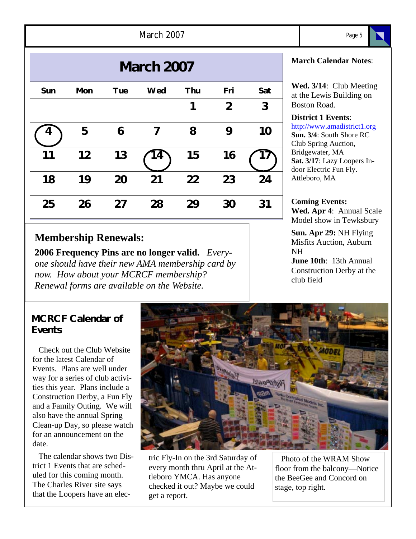| 2007<br>March | <i>חחר</i> |
|---------------|------------|
|               |            |

| <b>March 2007</b> |            |            |            |            |              |     |  |
|-------------------|------------|------------|------------|------------|--------------|-----|--|
| Sun               | <b>Mon</b> | <b>Tue</b> | <b>Wed</b> | <b>Thu</b> | Fri          | Sat |  |
|                   |            |            |            |            | $\mathbf{2}$ | 3   |  |
|                   | 5          | 6          | 7          | 8          | 9            | 10  |  |
| 11                | 12         | 13         | 4          | 15         | 16           |     |  |
| 18                | 19         | 20         | 21         | 22         | 23           | 24  |  |
| 25                | 26         | 27         | 28         | 29         | 30           | 31  |  |

## **Membership Renewals:**

**2006 Frequency Pins are no longer valid.** *Everyone should have their new AMA membership card by now. How about your MCRCF membership? Renewal forms are available on the Website.* 

### **MCRCF Calendar of Events**

 Check out the Club Website for the latest Calendar of Events. Plans are well under way for a series of club activities this year. Plans include a Construction Derby, a Fun Fly and a Family Outing. We will also have the annual Spring Clean-up Day, so please watch for an announcement on the date.

 The calendar shows two District 1 Events that are scheduled for this coming month. The Charles River site says that the Loopers have an elec-



tric Fly-In on the 3rd Saturday of every month thru April at the Attleboro YMCA. Has anyone checked it out? Maybe we could get a report.

 Photo of the WRAM Show floor from the balcony—Notice the BeeGee and Concord on stage, top right.

#### **March Calendar Notes**:

**Wed. 3/14**: Club Meeting at the Lewis Building on Boston Road.

#### **District 1 Events**:

http://www.amadistrict1.org **Sun. 3/4**: South Shore RC Club Spring Auction, Bridgewater, MA **Sat. 3/17**: Lazy Loopers Indoor Electric Fun Fly. Attleboro, MA

#### **Coming Events: Wed. Apr 4**: Annual Scale Model show in Tewksbury

**Sun. Apr 29:** NH Flying Misfits Auction, Auburn NH

**June 10th**: 13th Annual Construction Derby at the club field